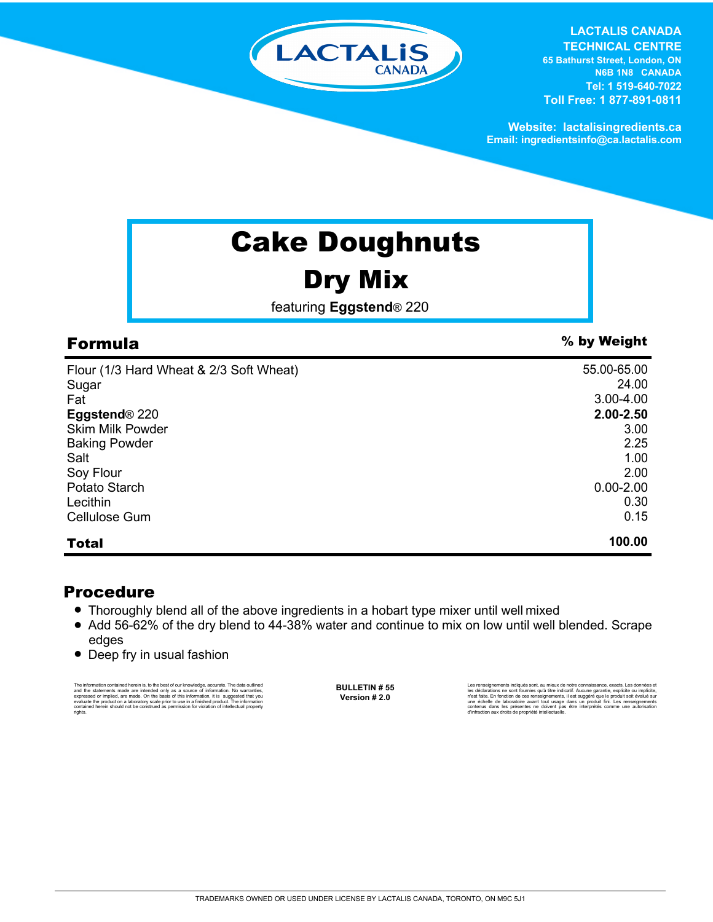

**LACTALIS CANADA** 

**TECHNICAL CENTRE 65 Bathurst Street, London, ON N6B 1N8 CANADA Tel: 1 519-640-7022 Toll Free: 1 877-891-0811**

**Website: lactalisingredients.ca Email: ingredientsinfo@ca.lactalis.com**

## Cake Doughnuts

### Dry Mix

featuring **Eggstend**® 220

| Flour (1/3 Hard Wheat & 2/3 Soft Wheat) | 55.00-65.00   |
|-----------------------------------------|---------------|
| Sugar                                   | 24.00         |
| Fat                                     | $3.00 - 4.00$ |
| Eggstend <sup>®</sup> 220               | 2.00-2.50     |
| <b>Skim Milk Powder</b>                 | 3.00          |
| <b>Baking Powder</b>                    | 2.25          |
| Salt                                    | 1.00          |
| Soy Flour                               | 2.00          |
| Potato Starch                           | $0.00 - 2.00$ |
| Lecithin                                | 0.30          |
| Cellulose Gum                           | 0.15          |
| <b>Total</b>                            | 100.00        |

### Procedure

- Thoroughly blend all of the above ingredients in a hobart type mixer until well mixed
- Add 56-62% of the dry blend to 44-38% water and continue to mix on low until well blended. Scrape edges
- Deep fry in usual fashion

The information contained herein is, to the best of our knowledge, accurate. The data cutlined the statements made are intended only as a source of information. No warranties, expressed or implied, are made. On the basis o

**BULLETIN # 55 Version # 2.0**

Les renseignements indiqués sont, au mieux de notre connaissance, exacts. Les données et les déclarations ne sont fournies qu'à titre indicatif. Aucune garantie, explicite ou implicite, n'est faite. En fonction de ces renseignements, il est suggéré que le produit soit évalué sur<br>une échelle de laboratoire avant tout usage dans un produit fini. Les renseignements<br>contenus dans les présentes ne doivent pas